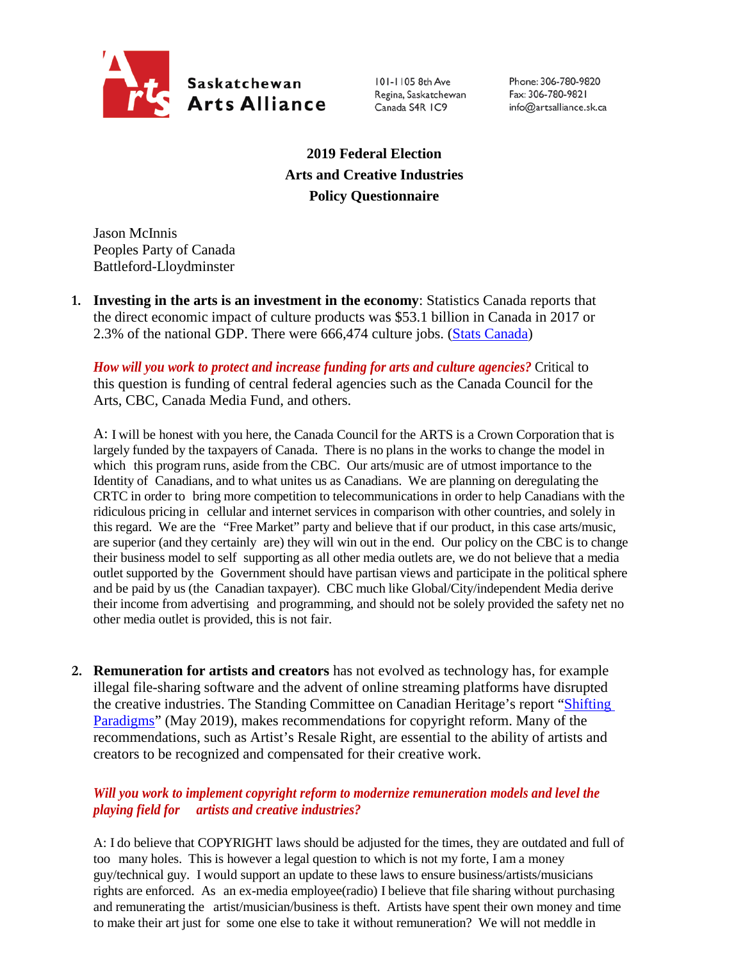

101-1105 8th Ave Regina, Saskatchewan Canada S4R IC9

Phone: 306-780-9820 Fax: 306-780-9821 info@artsalliance.sk.ca

**2019 Federal Election Arts and Creative Industries Policy Questionnaire**

Jason McInnis Peoples Party of Canada Battleford-Lloydminster

**1. Investing in the arts is an investment in the economy**: Statistics Canada reports that the direct economic impact of culture products was \$53.1 billion in Canada in 2017 or 2.3% of the national GDP. There were 666,474 culture jobs. [\(Stats Canada\)](https://www.canada.ca/en/canadian-heritage/corporate/publications/general-publications/culture-satellite-account.html#a4-3)

*How will you work to protect and increase funding for arts and culture agencies?* Critical to this question is funding of central federal agencies such as the Canada Council for the Arts, CBC, Canada Media Fund, and others.

A: I will be honest with you here, the Canada Council for the ARTS is a Crown Corporation that is largely funded by the taxpayers of Canada. There is no plans in the works to change the model in which this program runs, aside from the CBC. Our arts/music are of utmost importance to the Identity of Canadians, and to what unites us as Canadians. We are planning on deregulating the CRTC in order to bring more competition to telecommunications in order to help Canadians with the ridiculous pricing in cellular and internet services in comparison with other countries, and solely in this regard. We are the "Free Market" party and believe that if our product, in this case arts/music, are superior (and they certainly are) they will win out in the end. Our policy on the CBC is to change their business model to self supporting as all other media outlets are, we do not believe that a media outlet supported by the Government should have partisan views and participate in the political sphere and be paid by us (the Canadian taxpayer). CBC much like Global/City/independent Media derive their income from advertising and programming, and should not be solely provided the safety net no other media outlet is provided, this is not fair.

**2. Remuneration for artists and creators** has not evolved as technology has, for example illegal file-sharing software and the advent of online streaming platforms have disrupted the creative industries. The Standing Committee on Canadian Heritage's report ["Shifting](https://www.ourcommons.ca/Content/Committee/421/CHPC/Reports/RP10481650/chpcrp19/chpcrp19-e.pdf)  [Paradigms"](https://www.ourcommons.ca/Content/Committee/421/CHPC/Reports/RP10481650/chpcrp19/chpcrp19-e.pdf) (May 2019), makes recommendations for copyright reform. Many of the recommendations, such as Artist's Resale Right, are essential to the ability of artists and creators to be recognized and compensated for their creative work.

## *Will you work to implement copyright reform to modernize remuneration models and level the playing field for artists and creative industries?*

A: I do believe that COPYRIGHT laws should be adjusted for the times, they are outdated and full of too many holes. This is however a legal question to which is not my forte, I am a money guy/technical guy. I would support an update to these laws to ensure business/artists/musicians rights are enforced. As an ex-media employee(radio) I believe that file sharing without purchasing and remunerating the artist/musician/business is theft. Artists have spent their own money and time to make their art just for some one else to take it without remuneration? We will not meddle in